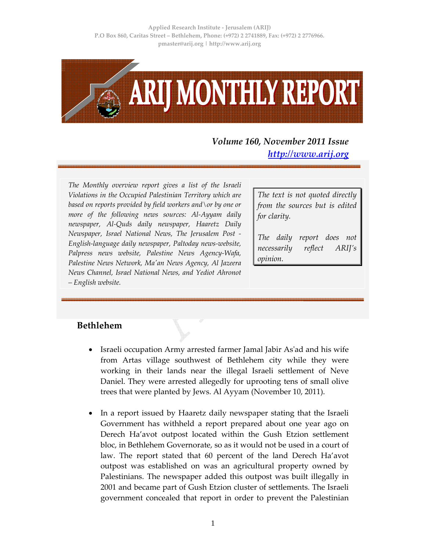**Applied Research Institute ‐ Jerusalem (ARIJ) P.O Box 860, Caritas Street – Bethlehem, Phone: (+972) 2 2741889, Fax: (+972) 2 2776966. pmaster@arij.org | http://www.arij.org**



*Volume 160, November 2011 Issue http://www.arij.org*

*The Monthly overview report gives a list of the Israeli Violations in the Occupied Palestinian Territory which are based on reports provided by field workers and\or by one or more of the following news sources: Al‐Ayyam daily newspaper, Al‐Quds daily newspaper, Haaretz Daily Newspaper, Israel National News, The Jerusalem Post ‐ English‐language daily newspaper, Paltoday news‐website, Palpress news website, Palestine News Agency‐Wafa, Palestine News Network, Maʹan News Agency, Al Jazeera News Channel, Israel National News, and Yediot Ahronot – English website.*

*The text is not quoted directly from the sources but is edited for clarity.*

*The daily report does not necessarily reflect ARIJ's opinion.*

#### **Bethlehem**

- Israeli occupation Army arrested farmer Jamal Jabir Asʹad and his wife from Artas village southwest of Bethlehem city while they were working in their lands near the illegal Israeli settlement of Neve Daniel. They were arrested allegedly for uprooting tens of small olive trees that were planted by Jews. Al Ayyam (November 10, 2011).
- In a report issued by Haaretz daily newspaper stating that the Israeli Government has withheld a report prepared about one year ago on Derech Ha'avot outpost located within the Gush Etzion settlement bloc, in Bethlehem Governorate, so as it would not be used in a court of law. The report stated that 60 percent of the land Derech Ha'avot outpost was established on was an agricultural property owned by Palestinians. The newspaper added this outpost was built illegally in 2001 and became part of Gush Etzion cluster of settlements. The Israeli government concealed that report in order to prevent the Palestinian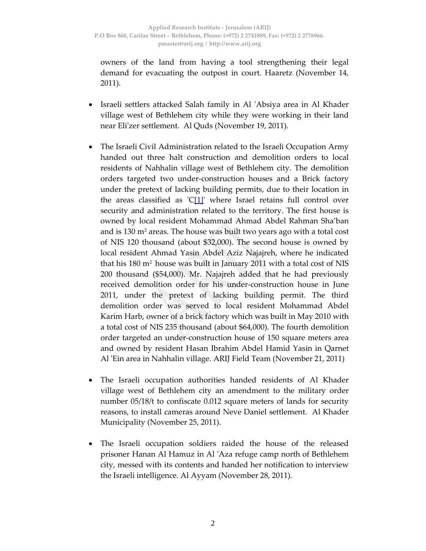owners of the land from having a tool strengthening their legal demand for evacuating the outpost in court. Haaretz (November 14, 2011).

- Israeli settlers attacked Salah family in Al ʹAbsiya area in Al Khader village west of Bethlehem city while they were working in their land near Eliʹzer settlement. Al Quds (November 19, 2011).
- The Israeli Civil Administration related to the Israeli Occupation Army handed out three halt construction and demolition orders to local residents of Nahhalin village west of Bethlehem city. The demolition orders targeted two under‐construction houses and a Brick factory under the pretext of lacking building permits, due to their location in the areas classified as  $\mathcal{C}[1]$ <sup>'</sup> where Israel retains full control over security and administration related to the territory. The first house is owned by local resident Mohammad Ahmad Abdel Rahman Sha'ban and is  $130 \text{ m}^2$  areas. The house was built two years ago with a total cost of NIS 120 thousand (about \$32,000). The second house is owned by local resident Ahmad Yasin Abdel Aziz Najajreh, where he indicated that his 180 m2 house was built in January 2011 with a total cost of NIS 200 thousand (\$54,000). Mr. Najajreh added that he had previously received demolition order for his under‐construction house in June 2011, under the pretext of lacking building permit. The third demolition order was served to local resident Mohammad Abdel Karim Harb, owner of a brick factory which was built in May 2010 with a total cost of NIS 235 thousand (about \$64,000). The fourth demolition order targeted an under‐construction house of 150 square meters area and owned by resident Hasan Ibrahim Abdel Hamid Yasin in Qarnet Al ʹEin area in Nahhalin village. ARIJ Field Team (November 21, 2011)
- The Israeli occupation authorities handed residents of Al Khader village west of Bethlehem city an amendment to the military order number 05/18/t to confiscate 0.012 square meters of lands for security reasons, to install cameras around Neve Daniel settlement. Al Khader Municipality (November 25, 2011).
- The Israeli occupation soldiers raided the house of the released prisoner Hanan Al Hamuz in Al ʹAza refuge camp north of Bethlehem city, messed with its contents and handed her notification to interview the Israeli intelligence. Al Ayyam (November 28, 2011).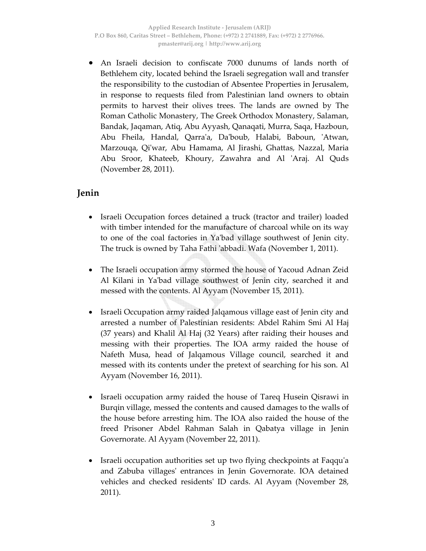• An Israeli decision to confiscate 7000 dunums of lands north of Bethlehem city, located behind the Israeli segregation wall and transfer the responsibility to the custodian of Absentee Properties in Jerusalem, in response to requests filed from Palestinian land owners to obtain permits to harvest their olives trees. The lands are owned by The Roman Catholic Monastery, The Greek Orthodox Monastery, Salaman, Bandak, Jaqaman, Atiq, Abu Ayyash, Qanaqati, Murra, Saqa, Hazboun, Abu Fheila, Handal, Qarraʹa, Daʹboub, Halabi, Baboun, ʹAtwan, Marzouqa, Qiʹwar, Abu Hamama, Al Jirashi, Ghattas, Nazzal, Maria Abu Sroor, Khateeb, Khoury, Zawahra and Al ʹAraj. Al Quds (November 28, 2011).

## **Jenin**

- Israeli Occupation forces detained a truck (tractor and trailer) loaded with timber intended for the manufacture of charcoal while on its way to one of the coal factories in Yaʹbad village southwest of Jenin city. The truck is owned by Taha Fathi ʹabbadi. Wafa (November 1, 2011).
- The Israeli occupation army stormed the house of Yacoud Adnan Zeid Al Kilani in Yaʹbad village southwest of Jenin city, searched it and messed with the contents. Al Ayyam (November 15, 2011).
- Israeli Occupation army raided Jalqamous village east of Jenin city and arrested a number of Palestinian residents: Abdel Rahim Smi Al Haj (37 years) and Khalil Al Haj (32 Years) after raiding their houses and messing with their properties. The IOA army raided the house of Nafeth Musa, head of Jalqamous Village council, searched it and messed with its contents under the pretext of searching for his son. Al Ayyam (November 16, 2011).
- Israeli occupation army raided the house of Tareq Husein Qisrawi in Burqin village, messed the contents and caused damages to the walls of the house before arresting him. The IOA also raided the house of the freed Prisoner Abdel Rahman Salah in Qabatya village in Jenin Governorate. Al Ayyam (November 22, 2011).
- Israeli occupation authorities set up two flying checkpoints at Faqqu'a and Zabuba villagesʹ entrances in Jenin Governorate. IOA detained vehicles and checked residentsʹ ID cards. Al Ayyam (November 28, 2011).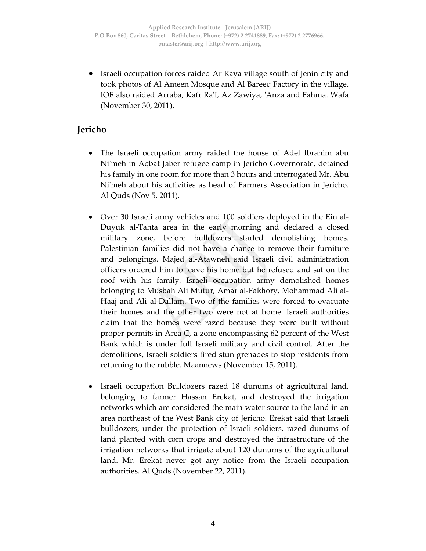• Israeli occupation forces raided Ar Raya village south of Jenin city and took photos of Al Ameen Mosque and Al Bareeq Factory in the village. IOF also raided Arraba, Kafr RaʹI, Az Zawiya, ʹAnza and Fahma. Wafa (November 30, 2011).

## **Jericho**

- The Israeli occupation army raided the house of Adel Ibrahim abu Niʹmeh in Aqbat Jaber refugee camp in Jericho Governorate, detained his family in one room for more than 3 hours and interrogated Mr. Abu Niʹmeh about his activities as head of Farmers Association in Jericho. Al Quds (Nov 5, 2011).
- Over 30 Israeli army vehicles and 100 soldiers deployed in the Ein al-Duyuk al‐Tahta area in the early morning and declared a closed military zone, before bulldozers started demolishing homes. Palestinian families did not have a chance to remove their furniture and belongings. Majed al‐Atawneh said Israeli civil administration officers ordered him to leave his home but he refused and sat on the roof with his family. Israeli occupation army demolished homes belonging to Musbah Ali Mutur, Amar al‐Fakhory, Mohammad Ali al‐ Haaj and Ali al‐Dallam. Two of the families were forced to evacuate their homes and the other two were not at home. Israeli authorities claim that the homes were razed because they were built without proper permits in Area C, a zone encompassing 62 percent of the West Bank which is under full Israeli military and civil control. After the demolitions, Israeli soldiers fired stun grenades to stop residents from returning to the rubble. Maannews (November 15, 2011).
- Israeli occupation Bulldozers razed 18 dunums of agricultural land, belonging to farmer Hassan Erekat, and destroyed the irrigation networks which are considered the main water source to the land in an area northeast of the West Bank city of Jericho. Erekat said that Israeli bulldozers, under the protection of Israeli soldiers, razed dunums of land planted with corn crops and destroyed the infrastructure of the irrigation networks that irrigate about 120 dunums of the agricultural land. Mr. Erekat never got any notice from the Israeli occupation authorities. Al Quds (November 22, 2011).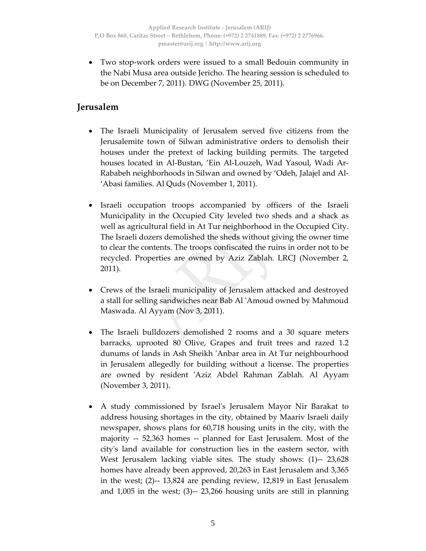• Two stop‐work orders were issued to a small Bedouin community in the Nabi Musa area outside Jericho. The hearing session is scheduled to be on December 7, 2011). DWG (November 25, 2011).

### **Jerusalem**

- The Israeli Municipality of Jerusalem served five citizens from the Jerusalemite town of Silwan administrative orders to demolish their houses under the pretext of lacking building permits. The targeted houses located in Al‐Bustan, 'Ein Al‐Louzeh, Wad Yasoul, Wadi Ar‐ Rababeh neighborhoods in Silwan and owned by 'Odeh, Jalajel and Al‐ 'Abasi families. Al Quds (November 1, 2011).
- Israeli occupation troops accompanied by officers of the Israeli Municipality in the Occupied City leveled two sheds and a shack as well as agricultural field in At Tur neighborhood in the Occupied City. The Israeli dozers demolished the sheds without giving the owner time to clear the contents. The troops confiscated the ruins in order not to be recycled. Properties are owned by Aziz Zablah. LRCJ (November 2, 2011).
- Crews of the Israeli municipality of Jerusalem attacked and destroyed a stall for selling sandwiches near Bab Al ʹAmoud owned by Mahmoud Maswada. Al Ayyam (Nov 3, 2011).
- The Israeli bulldozers demolished 2 rooms and a 30 square meters barracks, uprooted 80 Olive, Grapes and fruit trees and razed 1.2 dunums of lands in Ash Sheikh ʹAnbar area in At Tur neighbourhood in Jerusalem allegedly for building without a license. The properties are owned by resident 'Aziz Abdel Rahman Zablah. Al Ayyam (November 3, 2011).
- A study commissioned by Israelʹs Jerusalem Mayor Nir Barakat to address housing shortages in the city, obtained by Maariv Israeli daily newspaper, shows plans for 60,718 housing units in the city, with the majority ‐‐ 52,363 homes ‐‐ planned for East Jerusalem. Most of the cityʹs land available for construction lies in the eastern sector, with West Jerusalem lacking viable sites. The study shows: (1)-- 23,628 homes have already been approved, 20,263 in East Jerusalem and 3,365 in the west; (2)‐‐ 13,824 are pending review, 12,819 in East Jerusalem and 1,005 in the west; (3)‐‐ 23,266 housing units are still in planning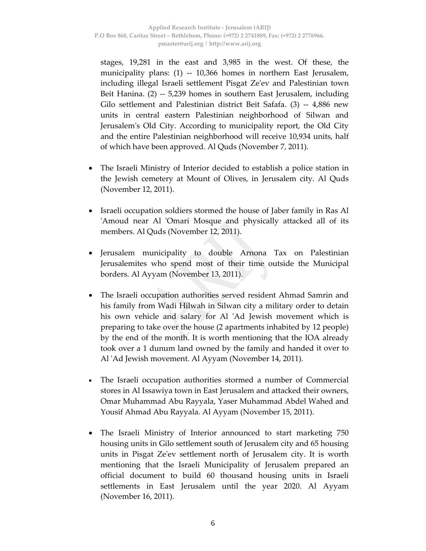stages, 19,281 in the east and 3,985 in the west. Of these, the municipality plans: (1) ‐‐ 10,366 homes in northern East Jerusalem, including illegal Israeli settlement Pisgat Zeʹev and Palestinian town Beit Hanina. (2) ‐‐ 5,239 homes in southern East Jerusalem, including Gilo settlement and Palestinian district Beit Safafa. (3) -- 4,886 new units in central eastern Palestinian neighborhood of Silwan and Jerusalemʹs Old City. According to municipality report, the Old City and the entire Palestinian neighborhood will receive 10,934 units, half of which have been approved. Al Quds (November 7, 2011).

- The Israeli Ministry of Interior decided to establish a police station in the Jewish cemetery at Mount of Olives, in Jerusalem city. Al Quds (November 12, 2011).
- Israeli occupation soldiers stormed the house of Jaber family in Ras Al 'Amoud near Al 'Omari Mosque and physically attacked all of its members. Al Quds (November 12, 2011).
- Jerusalem municipality to double Arnona Tax on Palestinian Jerusalemites who spend most of their time outside the Municipal borders. Al Ayyam (November 13, 2011).
- The Israeli occupation authorities served resident Ahmad Samrin and his family from Wadi Hilwah in Silwan city a military order to detain his own vehicle and salary for Al 'Ad Jewish movement which is preparing to take over the house (2 apartments inhabited by 12 people) by the end of the month. It is worth mentioning that the IOA already took over a 1 dunum land owned by the family and handed it over to Al ʹAd Jewish movement. Al Ayyam (November 14, 2011).
- The Israeli occupation authorities stormed a number of Commercial stores in Al Issawiya town in East Jerusalem and attacked their owners, Omar Muhammad Abu Rayyala, Yaser Muhammad Abdel Wahed and Yousif Ahmad Abu Rayyala. Al Ayyam (November 15, 2011).
- The Israeli Ministry of Interior announced to start marketing 750 housing units in Gilo settlement south of Jerusalem city and 65 housing units in Pisgat Zeʹev settlement north of Jerusalem city. It is worth mentioning that the Israeli Municipality of Jerusalem prepared an official document to build 60 thousand housing units in Israeli settlements in East Jerusalem until the year 2020. Al Ayyam (November 16, 2011).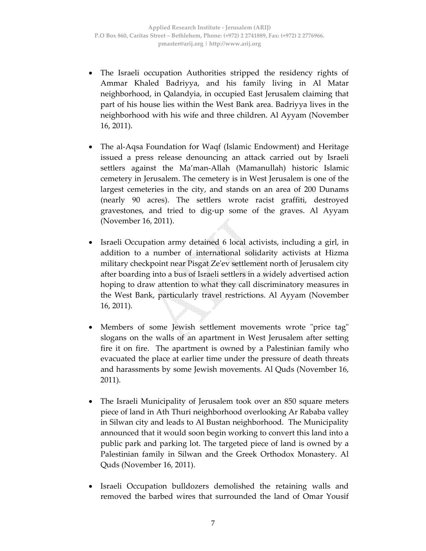- The Israeli occupation Authorities stripped the residency rights of Ammar Khaled Badriyya, and his family living in Al Matar neighborhood, in Qalandyia, in occupied East Jerusalem claiming that part of his house lies within the West Bank area. Badriyya lives in the neighborhood with his wife and three children. Al Ayyam (November 16, 2011).
- The al‐Aqsa Foundation for Waqf (Islamic Endowment) and Heritage issued a press release denouncing an attack carried out by Israeli settlers against the Ma'man-Allah (Mamanullah) historic Islamic cemetery in Jerusalem. The cemetery is in West Jerusalem is one of the largest cemeteries in the city, and stands on an area of 200 Dunams (nearly 90 acres). The settlers wrote racist graffiti, destroyed gravestones, and tried to dig‐up some of the graves. Al Ayyam (November 16, 2011).
- Israeli Occupation army detained 6 local activists, including a girl, in addition to a number of international solidarity activists at Hizma military checkpoint near Pisgat Zeʹev settlement north of Jerusalem city after boarding into a bus of Israeli settlers in a widely advertised action hoping to draw attention to what they call discriminatory measures in the West Bank, particularly travel restrictions. Al Ayyam (November 16, 2011).
- Members of some Jewish settlement movements wrote "price tag" slogans on the walls of an apartment in West Jerusalem after setting fire it on fire. The apartment is owned by a Palestinian family who evacuated the place at earlier time under the pressure of death threats and harassments by some Jewish movements. Al Quds (November 16, 2011).
- The Israeli Municipality of Jerusalem took over an 850 square meters piece of land in Ath Thuri neighborhood overlooking Ar Rababa valley in Silwan city and leads to Al Bustan neighborhood. The Municipality announced that it would soon begin working to convert this land into a public park and parking lot. The targeted piece of land is owned by a Palestinian family in Silwan and the Greek Orthodox Monastery. Al Quds (November 16, 2011).
- Israeli Occupation bulldozers demolished the retaining walls and removed the barbed wires that surrounded the land of Omar Yousif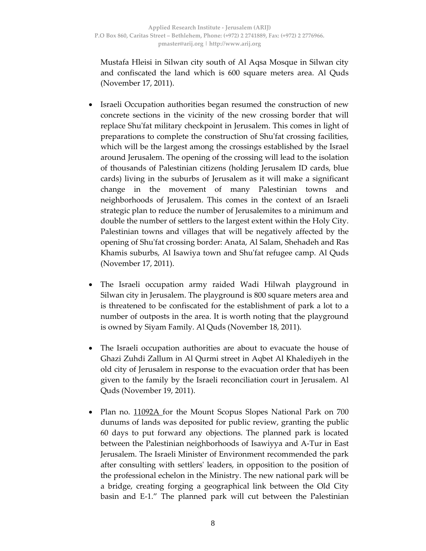Mustafa Hleisi in Silwan city south of Al Aqsa Mosque in Silwan city and confiscated the land which is 600 square meters area. Al Quds (November 17, 2011).

- Israeli Occupation authorities began resumed the construction of new concrete sections in the vicinity of the new crossing border that will replace Shuʹfat military checkpoint in Jerusalem. This comes in light of preparations to complete the construction of Shuʹfat crossing facilities, which will be the largest among the crossings established by the Israel around Jerusalem. The opening of the crossing will lead to the isolation of thousands of Palestinian citizens (holding Jerusalem ID cards, blue cards) living in the suburbs of Jerusalem as it will make a significant change in the movement of many Palestinian towns and neighborhoods of Jerusalem. This comes in the context of an Israeli strategic plan to reduce the number of Jerusalemites to a minimum and double the number of settlers to the largest extent within the Holy City. Palestinian towns and villages that will be negatively affected by the opening of Shuʹfat crossing border: Anata, Al Salam, Shehadeh and Ras Khamis suburbs, Al Isawiya town and Shuʹfat refugee camp. Al Quds (November 17, 2011).
- The Israeli occupation army raided Wadi Hilwah playground in Silwan city in Jerusalem. The playground is 800 square meters area and is threatened to be confiscated for the establishment of park a lot to a number of outposts in the area. It is worth noting that the playground is owned by Siyam Family. Al Quds (November 18, 2011).
- The Israeli occupation authorities are about to evacuate the house of Ghazi Zuhdi Zallum in Al Qurmi street in Aqbet Al Khalediyeh in the old city of Jerusalem in response to the evacuation order that has been given to the family by the Israeli reconciliation court in Jerusalem. Al Quds (November 19, 2011).
- Plan no. 11092A for the Mount Scopus Slopes National Park on 700 dunums of lands was deposited for public review, granting the public 60 days to put forward any objections. The planned park is located between the Palestinian neighborhoods of Isawiyya and A‐Tur in East Jerusalem. The Israeli Minister of Environment recommended the park after consulting with settlersʹ leaders, in opposition to the position of the professional echelon in the Ministry. The new national park will be a bridge, creating forging a geographical link between the Old City basin and E‐1." The planned park will cut between the Palestinian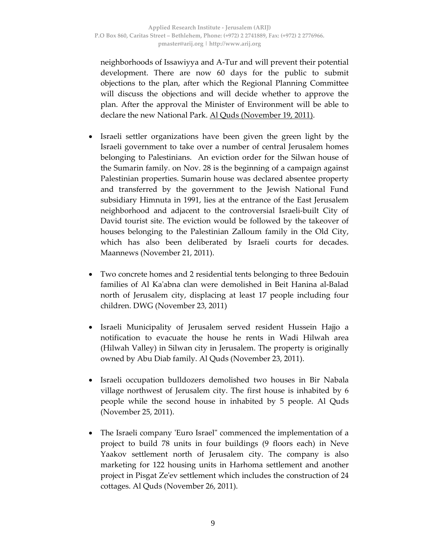neighborhoods of Issawiyya and A‐Tur and will prevent their potential development. There are now 60 days for the public to submit objections to the plan, after which the Regional Planning Committee will discuss the objections and will decide whether to approve the plan. After the approval the Minister of Environment will be able to declare the new National Park. Al Quds (November 19, 2011).

- Israeli settler organizations have been given the green light by the Israeli government to take over a number of central Jerusalem homes belonging to Palestinians. An eviction order for the Silwan house of the Sumarin family. on Nov. 28 is the beginning of a campaign against Palestinian properties. Sumarin house was declared absentee property and transferred by the government to the Jewish National Fund subsidiary Himnuta in 1991, lies at the entrance of the East Jerusalem neighborhood and adjacent to the controversial Israeli‐built City of David tourist site. The eviction would be followed by the takeover of houses belonging to the Palestinian Zalloum family in the Old City, which has also been deliberated by Israeli courts for decades. Maannews (November 21, 2011).
- Two concrete homes and 2 residential tents belonging to three Bedouin families of Al Kaʹabna clan were demolished in Beit Hanina al‐Balad north of Jerusalem city, displacing at least 17 people including four children. DWG (November 23, 2011)
- Israeli Municipality of Jerusalem served resident Hussein Hajjo a notification to evacuate the house he rents in Wadi Hilwah area (Hilwah Valley) in Silwan city in Jerusalem. The property is originally owned by Abu Diab family. Al Quds (November 23, 2011).
- Israeli occupation bulldozers demolished two houses in Bir Nabala village northwest of Jerusalem city. The first house is inhabited by 6 people while the second house in inhabited by 5 people. Al Quds (November 25, 2011).
- The Israeli company 'Euro Israel" commenced the implementation of a project to build 78 units in four buildings (9 floors each) in Neve Yaakov settlement north of Jerusalem city. The company is also marketing for 122 housing units in Harhoma settlement and another project in Pisgat Zeʹev settlement which includes the construction of 24 cottages. Al Quds (November 26, 2011).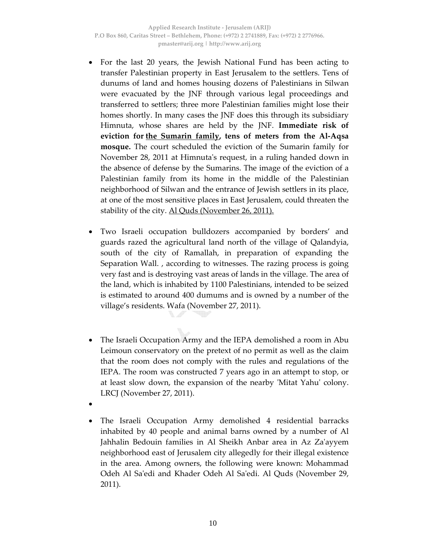- For the last 20 years, the Jewish National Fund has been acting to transfer Palestinian property in East Jerusalem to the settlers. Tens of dunums of land and homes housing dozens of Palestinians in Silwan were evacuated by the JNF through various legal proceedings and transferred to settlers; three more Palestinian families might lose their homes shortly. In many cases the JNF does this through its subsidiary Himnuta, whose shares are held by the JNF. **Immediate risk of eviction for the Sumarin family, tens of meters from the Al‐Aqsa mosque.** The court scheduled the eviction of the Sumarin family for November 28, 2011 at Himnutaʹs request, in a ruling handed down in the absence of defense by the Sumarins. The image of the eviction of a Palestinian family from its home in the middle of the Palestinian neighborhood of Silwan and the entrance of Jewish settlers in its place, at one of the most sensitive places in East Jerusalem, could threaten the stability of the city. Al Quds (November 26, 2011).
- Two Israeli occupation bulldozers accompanied by borders' and guards razed the agricultural land north of the village of Qalandyia, south of the city of Ramallah, in preparation of expanding the Separation Wall. , according to witnesses. The razing process is going very fast and is destroying vast areas of lands in the village. The area of the land, which is inhabited by 1100 Palestinians, intended to be seized is estimated to around 400 dumums and is owned by a number of the village's residents. Wafa (November 27, 2011).
- The Israeli Occupation Army and the IEPA demolished a room in Abu Leimoun conservatory on the pretext of no permit as well as the claim that the room does not comply with the rules and regulations of the IEPA. The room was constructed 7 years ago in an attempt to stop, or at least slow down, the expansion of the nearby 'Mitat Yahu' colony. LRCJ (November 27, 2011).
- •
- The Israeli Occupation Army demolished 4 residential barracks inhabited by 40 people and animal barns owned by a number of Al Jahhalin Bedouin families in Al Sheikh Anbar area in Az Zaʹayyem neighborhood east of Jerusalem city allegedly for their illegal existence in the area. Among owners, the following were known: Mohammad Odeh Al Saʹedi and Khader Odeh Al Saʹedi. Al Quds (November 29, 2011).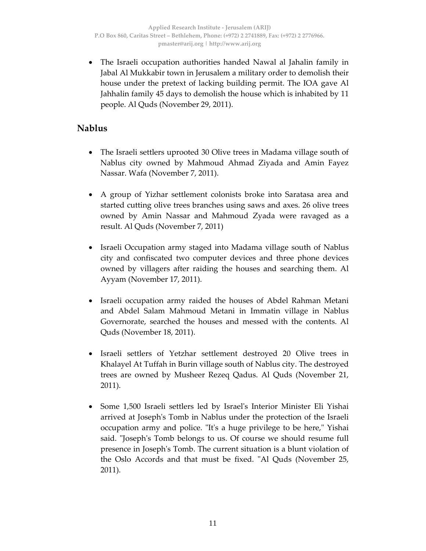• The Israeli occupation authorities handed Nawal al Jahalin family in Jabal Al Mukkabir town in Jerusalem a military order to demolish their house under the pretext of lacking building permit. The IOA gave Al Jahhalin family 45 days to demolish the house which is inhabited by 11 people. Al Quds (November 29, 2011).

#### **Nablus**

- The Israeli settlers uprooted 30 Olive trees in Madama village south of Nablus city owned by Mahmoud Ahmad Ziyada and Amin Fayez Nassar. Wafa (November 7, 2011).
- A group of Yizhar settlement colonists broke into Saratasa area and started cutting olive trees branches using saws and axes. 26 olive trees owned by Amin Nassar and Mahmoud Zyada were ravaged as a result. Al Quds (November 7, 2011)
- Israeli Occupation army staged into Madama village south of Nablus city and confiscated two computer devices and three phone devices owned by villagers after raiding the houses and searching them. Al Ayyam (November 17, 2011).
- Israeli occupation army raided the houses of Abdel Rahman Metani and Abdel Salam Mahmoud Metani in Immatin village in Nablus Governorate, searched the houses and messed with the contents. Al Quds (November 18, 2011).
- Israeli settlers of Yetzhar settlement destroyed 20 Olive trees in Khalayel At Tuffah in Burin village south of Nablus city. The destroyed trees are owned by Musheer Rezeq Qadus. Al Quds (November 21, 2011).
- Some 1,500 Israeli settlers led by Israelʹs Interior Minister Eli Yishai arrived at Josephʹs Tomb in Nablus under the protection of the Israeli occupation army and police. "It's a huge privilege to be here," Yishai said. "Joseph's Tomb belongs to us. Of course we should resume full presence in Josephʹs Tomb. The current situation is a blunt violation of the Oslo Accords and that must be fixed. "Al Quds (November 25, 2011).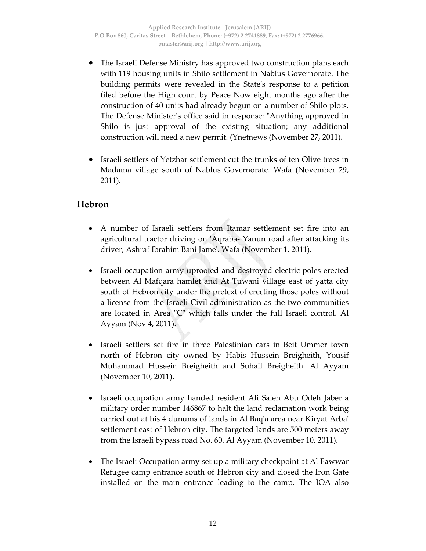- The Israeli Defense Ministry has approved two construction plans each with 119 housing units in Shilo settlement in Nablus Governorate. The building permits were revealed in the Stateʹs response to a petition filed before the High court by Peace Now eight months ago after the construction of 40 units had already begun on a number of Shilo plots. The Defense Ministerʹs office said in response: ʺAnything approved in Shilo is just approval of the existing situation; any additional construction will need a new permit. (Ynetnews (November 27, 2011).
- Israeli settlers of Yetzhar settlement cut the trunks of ten Olive trees in Madama village south of Nablus Governorate. Wafa (November 29, 2011).

## **Hebron**

- A number of Israeli settlers from Itamar settlement set fire into an agricultural tractor driving on ʹAqraba‐ Yanun road after attacking its driver, Ashraf Ibrahim Bani Jameʹ. Wafa (November 1, 2011).
- Israeli occupation army uprooted and destroyed electric poles erected between Al Mafqara hamlet and At Tuwani village east of yatta city south of Hebron city under the pretext of erecting those poles without a license from the Israeli Civil administration as the two communities are located in Area "C" which falls under the full Israeli control. Al Ayyam (Nov 4, 2011).
- Israeli settlers set fire in three Palestinian cars in Beit Ummer town north of Hebron city owned by Habis Hussein Breigheith, Yousif Muhammad Hussein Breigheith and Suhail Breigheith. Al Ayyam (November 10, 2011).
- Israeli occupation army handed resident Ali Saleh Abu Odeh Jaber a military order number 146867 to halt the land reclamation work being carried out at his 4 dunums of lands in Al Baqʹa area near Kiryat Arbaʹ settlement east of Hebron city. The targeted lands are 500 meters away from the Israeli bypass road No. 60. Al Ayyam (November 10, 2011).
- The Israeli Occupation army set up a military checkpoint at Al Fawwar Refugee camp entrance south of Hebron city and closed the Iron Gate installed on the main entrance leading to the camp. The IOA also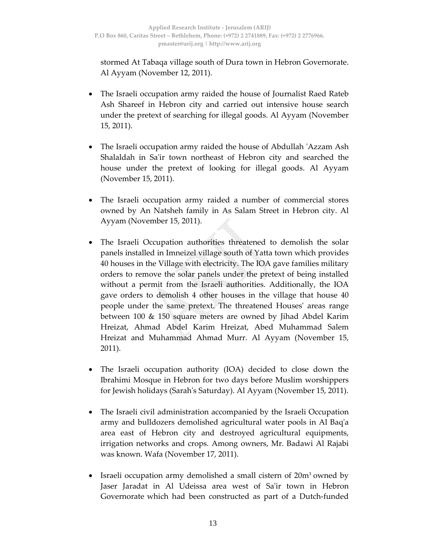stormed At Tabaqa village south of Dura town in Hebron Governorate. Al Ayyam (November 12, 2011).

- The Israeli occupation army raided the house of Journalist Raed Rateb Ash Shareef in Hebron city and carried out intensive house search under the pretext of searching for illegal goods. Al Ayyam (November 15, 2011).
- The Israeli occupation army raided the house of Abdullah ʹAzzam Ash Shalaldah in Sa'ir town northeast of Hebron city and searched the house under the pretext of looking for illegal goods. Al Ayyam (November 15, 2011).
- The Israeli occupation army raided a number of commercial stores owned by An Natsheh family in As Salam Street in Hebron city. Al Ayyam (November 15, 2011).
- The Israeli Occupation authorities threatened to demolish the solar panels installed in Imneizel village south of Yatta town which provides 40 houses in the Village with electricity. The IOA gave families military orders to remove the solar panels under the pretext of being installed without a permit from the Israeli authorities. Additionally, the IOA gave orders to demolish 4 other houses in the village that house 40 people under the same pretext. The threatened Housesʹ areas range between 100 & 150 square meters are owned by Jihad Abdel Karim Hreizat, Ahmad Abdel Karim Hreizat, Abed Muhammad Salem Hreizat and Muhammad Ahmad Murr. Al Ayyam (November 15, 2011).
- The Israeli occupation authority (IOA) decided to close down the Ibrahimi Mosque in Hebron for two days before Muslim worshippers for Jewish holidays (Sarahʹs Saturday). Al Ayyam (November 15, 2011).
- The Israeli civil administration accompanied by the Israeli Occupation army and bulldozers demolished agricultural water pools in Al Baqʹa area east of Hebron city and destroyed agricultural equipments, irrigation networks and crops. Among owners, Mr. Badawi Al Rajabi was known. Wafa (November 17, 2011).
- Israeli occupation army demolished a small cistern of 20m3 owned by Jaser Jaradat in Al Udeissa area west of Sa'ir town in Hebron Governorate which had been constructed as part of a Dutch‐funded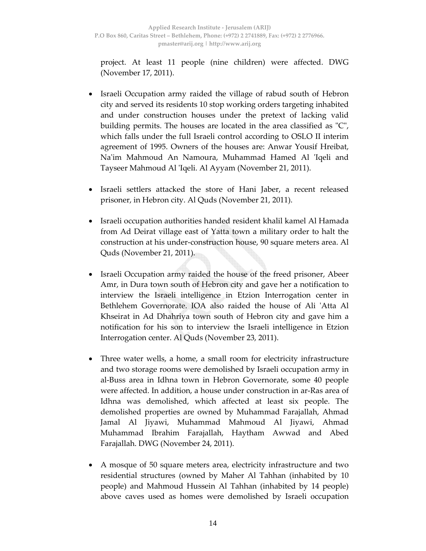project. At least 11 people (nine children) were affected. DWG (November 17, 2011).

- Israeli Occupation army raided the village of rabud south of Hebron city and served its residents 10 stop working orders targeting inhabited and under construction houses under the pretext of lacking valid building permits. The houses are located in the area classified as "C", which falls under the full Israeli control according to OSLO II interim agreement of 1995. Owners of the houses are: Anwar Yousif Hreibat, Naʹim Mahmoud An Namoura, Muhammad Hamed Al ʹIqeli and Tayseer Mahmoud Al ʹIqeli. Al Ayyam (November 21, 2011).
- Israeli settlers attacked the store of Hani Jaber, a recent released prisoner, in Hebron city. Al Quds (November 21, 2011).
- Israeli occupation authorities handed resident khalil kamel Al Hamada from Ad Deirat village east of Yatta town a military order to halt the construction at his under‐construction house, 90 square meters area. Al Quds (November 21, 2011).
- Israeli Occupation army raided the house of the freed prisoner, Abeer Amr, in Dura town south of Hebron city and gave her a notification to interview the Israeli intelligence in Etzion Interrogation center in Bethlehem Governorate. IOA also raided the house of Ali ʹAtta Al Khseirat in Ad Dhahriya town south of Hebron city and gave him a notification for his son to interview the Israeli intelligence in Etzion Interrogation center. Al Quds (November 23, 2011).
- Three water wells, a home, a small room for electricity infrastructure and two storage rooms were demolished by Israeli occupation army in al‐Buss area in Idhna town in Hebron Governorate, some 40 people were affected. In addition, a house under construction in ar‐Ras area of Idhna was demolished, which affected at least six people. The demolished properties are owned by Muhammad Farajallah, Ahmad Jamal Al Jiyawi, Muhammad Mahmoud Al Jiyawi, Ahmad Muhammad Ibrahim Farajallah, Haytham Awwad and Abed Farajallah. DWG (November 24, 2011).
- A mosque of 50 square meters area, electricity infrastructure and two residential structures (owned by Maher Al Tahhan (inhabited by 10 people) and Mahmoud Hussein Al Tahhan (inhabited by 14 people) above caves used as homes were demolished by Israeli occupation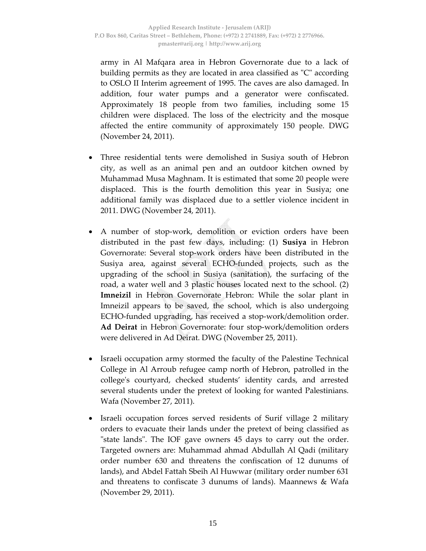army in Al Mafqara area in Hebron Governorate due to a lack of building permits as they are located in area classified as "C" according to OSLO II Interim agreement of 1995. The caves are also damaged. In addition, four water pumps and a generator were confiscated. Approximately 18 people from two families, including some 15 children were displaced. The loss of the electricity and the mosque affected the entire community of approximately 150 people. DWG (November 24, 2011).

- Three residential tents were demolished in Susiya south of Hebron city, as well as an animal pen and an outdoor kitchen owned by Muhammad Musa Maghnam. It is estimated that some 20 people were displaced. This is the fourth demolition this year in Susiya; one additional family was displaced due to a settler violence incident in 2011. DWG (November 24, 2011).
- A number of stop-work, demolition or eviction orders have been distributed in the past few days, including: (1) **Susiya** in Hebron Governorate: Several stop‐work orders have been distributed in the Susiya area, against several ECHO‐funded projects, such as the upgrading of the school in Susiya (sanitation), the surfacing of the road, a water well and 3 plastic houses located next to the school. (2) **Imneizil** in Hebron Governorate Hebron: While the solar plant in Imneizil appears to be saved, the school, which is also undergoing ECHO‐funded upgrading, has received a stop‐work/demolition order. **Ad Deirat** in Hebron Governorate: four stop‐work/demolition orders were delivered in Ad Deirat. DWG (November 25, 2011).
- Israeli occupation army stormed the faculty of the Palestine Technical College in Al Arroub refugee camp north of Hebron, patrolled in the collegeʹs courtyard, checked students' identity cards, and arrested several students under the pretext of looking for wanted Palestinians. Wafa (November 27, 2011).
- Israeli occupation forces served residents of Surif village 2 military orders to evacuate their lands under the pretext of being classified as "state lands". The IOF gave owners 45 days to carry out the order. Targeted owners are: Muhammad ahmad Abdullah Al Qadi (military order number 630 and threatens the confiscation of 12 dunums of lands), and Abdel Fattah Sbeih Al Huwwar (military order number 631 and threatens to confiscate 3 dunums of lands). Maannews & Wafa (November 29, 2011).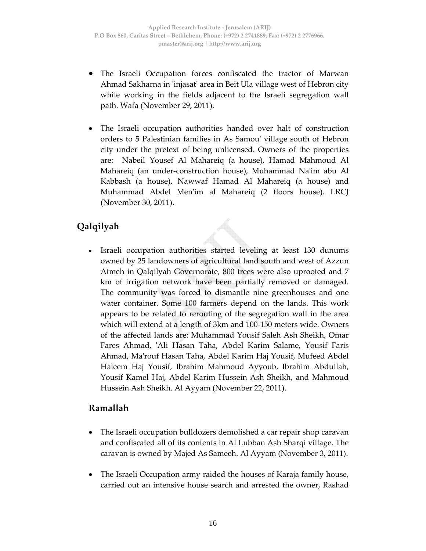- The Israeli Occupation forces confiscated the tractor of Marwan Ahmad Sakharna in ʹinjasatʹ area in Beit Ula village west of Hebron city while working in the fields adjacent to the Israeli segregation wall path. Wafa (November 29, 2011).
- The Israeli occupation authorities handed over halt of construction orders to 5 Palestinian families in As Samouʹ village south of Hebron city under the pretext of being unlicensed. Owners of the properties are: Nabeil Yousef Al Mahareiq (a house), Hamad Mahmoud Al Mahareiq (an under‐construction house), Muhammad Naʹim abu Al Kabbash (a house), Nawwaf Hamad Al Mahareiq (a house) and Muhammad Abdel Menʹim al Mahareiq (2 floors house). LRCJ (November 30, 2011).

# **Qalqilyah**

• Israeli occupation authorities started leveling at least 130 dunums owned by 25 landowners of agricultural land south and west of Azzun Atmeh in Qalqilyah Governorate, 800 trees were also uprooted and 7 km of irrigation network have been partially removed or damaged. The community was forced to dismantle nine greenhouses and one water container. Some 100 farmers depend on the lands. This work appears to be related to rerouting of the segregation wall in the area which will extend at a length of 3km and 100‐150 meters wide. Owners of the affected lands are: Muhammad Yousif Saleh Ash Sheikh, Omar Fares Ahmad, ʹAli Hasan Taha, Abdel Karim Salame, Yousif Faris Ahmad, Maʹrouf Hasan Taha, Abdel Karim Haj Yousif, Mufeed Abdel Haleem Haj Yousif, Ibrahim Mahmoud Ayyoub, Ibrahim Abdullah, Yousif Kamel Haj, Abdel Karim Hussein Ash Sheikh, and Mahmoud Hussein Ash Sheikh. Al Ayyam (November 22, 2011).

#### **Ramallah**

- The Israeli occupation bulldozers demolished a car repair shop caravan and confiscated all of its contents in Al Lubban Ash Sharqi village. The caravan is owned by Majed As Sameeh. Al Ayyam (November 3, 2011).
- The Israeli Occupation army raided the houses of Karaja family house, carried out an intensive house search and arrested the owner, Rashad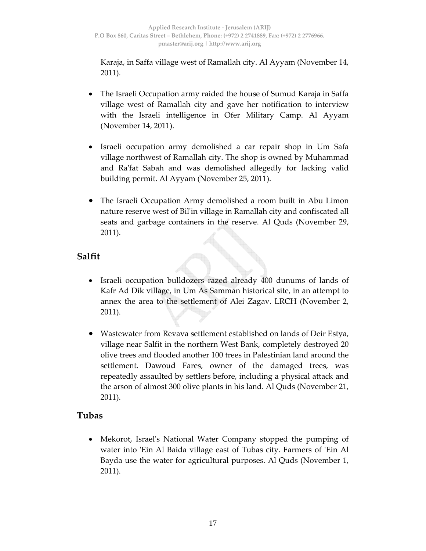Karaja, in Saffa village west of Ramallah city. Al Ayyam (November 14, 2011).

- The Israeli Occupation army raided the house of Sumud Karaja in Saffa village west of Ramallah city and gave her notification to interview with the Israeli intelligence in Ofer Military Camp. Al Ayyam (November 14, 2011).
- Israeli occupation army demolished a car repair shop in Um Safa village northwest of Ramallah city. The shop is owned by Muhammad and Raʹfat Sabah and was demolished allegedly for lacking valid building permit. Al Ayyam (November 25, 2011).
- The Israeli Occupation Army demolished a room built in Abu Limon nature reserve west of Bilʹin village in Ramallah city and confiscated all seats and garbage containers in the reserve. Al Quds (November 29, 2011).

## **Salfit**

- Israeli occupation bulldozers razed already 400 dunums of lands of Kafr Ad Dik village, in Um As Samman historical site, in an attempt to annex the area to the settlement of Alei Zagav. LRCH (November 2, 2011).
- Wastewater from Revava settlement established on lands of Deir Estya, village near Salfit in the northern West Bank, completely destroyed 20 olive trees and flooded another 100 trees in Palestinian land around the settlement. Dawoud Fares, owner of the damaged trees, was repeatedly assaulted by settlers before, including a physical attack and the arson of almost 300 olive plants in his land. Al Quds (November 21, 2011).

#### **Tubas**

• Mekorot, Israelʹs National Water Company stopped the pumping of water into 'Ein Al Baida village east of Tubas city. Farmers of 'Ein Al Bayda use the water for agricultural purposes. Al Quds (November 1, 2011).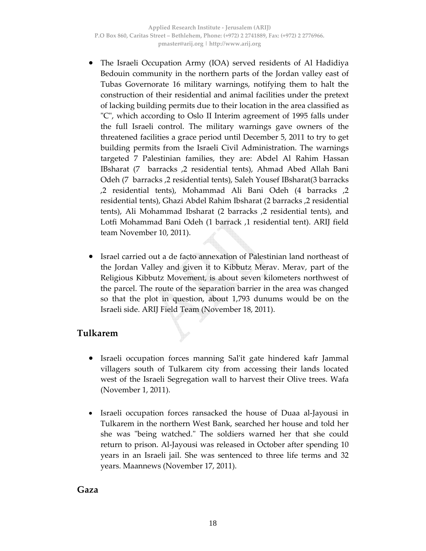- The Israeli Occupation Army (IOA) served residents of Al Hadidiya Bedouin community in the northern parts of the Jordan valley east of Tubas Governorate 16 military warnings, notifying them to halt the construction of their residential and animal facilities under the pretext of lacking building permits due to their location in the area classified as ʺCʺ, which according to Oslo II Interim agreement of 1995 falls under the full Israeli control. The military warnings gave owners of the threatened facilities a grace period until December 5, 2011 to try to get building permits from the Israeli Civil Administration. The warnings targeted 7 Palestinian families, they are: Abdel Al Rahim Hassan IBsharat (7 barracks ,2 residential tents), Ahmad Abed Allah Bani Odeh (7 barracks ,2 residential tents), Saleh Yousef IBsharat(3 barracks ,2 residential tents), Mohammad Ali Bani Odeh (4 barracks ,2 residential tents), Ghazi Abdel Rahim Ibsharat (2 barracks ,2 residential tents), Ali Mohammad Ibsharat (2 barracks ,2 residential tents), and Lotfi Mohammad Bani Odeh (1 barrack ,1 residential tent). ARIJ field team November 10, 2011).
- Israel carried out a de facto annexation of Palestinian land northeast of the Jordan Valley and given it to Kibbutz Merav. Merav, part of the Religious Kibbutz Movement, is about seven kilometers northwest of the parcel. The route of the separation barrier in the area was changed so that the plot in question, about 1,793 dunums would be on the Israeli side. ARIJ Field Team (November 18, 2011).

#### **Tulkarem**

- Israeli occupation forces manning Salʹit gate hindered kafr Jammal villagers south of Tulkarem city from accessing their lands located west of the Israeli Segregation wall to harvest their Olive trees. Wafa (November 1, 2011).
- Israeli occupation forces ransacked the house of Duaa al-Jayousi in Tulkarem in the northern West Bank, searched her house and told her she was "being watched." The soldiers warned her that she could return to prison. Al‐Jayousi was released in October after spending 10 years in an Israeli jail. She was sentenced to three life terms and 32 years. Maannews (November 17, 2011).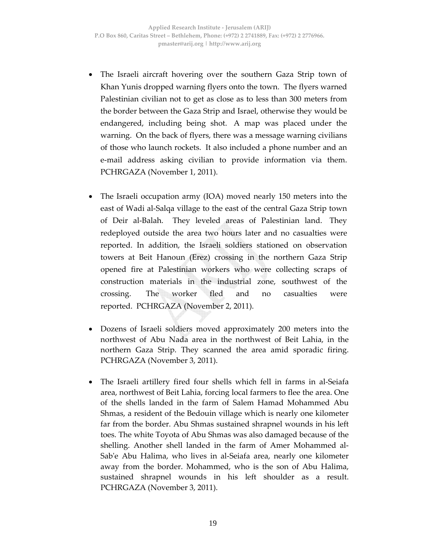- The Israeli aircraft hovering over the southern Gaza Strip town of Khan Yunis dropped warning flyers onto the town. The flyers warned Palestinian civilian not to get as close as to less than 300 meters from the border between the Gaza Strip and Israel, otherwise they would be endangered, including being shot. A map was placed under the warning. On the back of flyers, there was a message warning civilians of those who launch rockets. It also included a phone number and an e‐mail address asking civilian to provide information via them. PCHRGAZA (November 1, 2011).
- The Israeli occupation army (IOA) moved nearly 150 meters into the east of Wadi al‐Salqa village to the east of the central Gaza Strip town of Deir al‐Balah. They leveled areas of Palestinian land. They redeployed outside the area two hours later and no casualties were reported. In addition, the Israeli soldiers stationed on observation towers at Beit Hanoun (Erez) crossing in the northern Gaza Strip opened fire at Palestinian workers who were collecting scraps of construction materials in the industrial zone, southwest of the crossing. The worker fled and no casualties were reported. PCHRGAZA (November 2, 2011).
- Dozens of Israeli soldiers moved approximately 200 meters into the northwest of Abu Nada area in the northwest of Beit Lahia, in the northern Gaza Strip. They scanned the area amid sporadic firing. PCHRGAZA (November 3, 2011).
- The Israeli artillery fired four shells which fell in farms in al-Seiafa area, northwest of Beit Lahia, forcing local farmers to flee the area. One of the shells landed in the farm of Salem Hamad Mohammed Abu Shmas, a resident of the Bedouin village which is nearly one kilometer far from the border. Abu Shmas sustained shrapnel wounds in his left toes. The white Toyota of Abu Shmas was also damaged because of the shelling. Another shell landed in the farm of Amer Mohammed al‐ Sab'e Abu Halima, who lives in al-Seiafa area, nearly one kilometer away from the border. Mohammed, who is the son of Abu Halima, sustained shrapnel wounds in his left shoulder as a result. PCHRGAZA (November 3, 2011).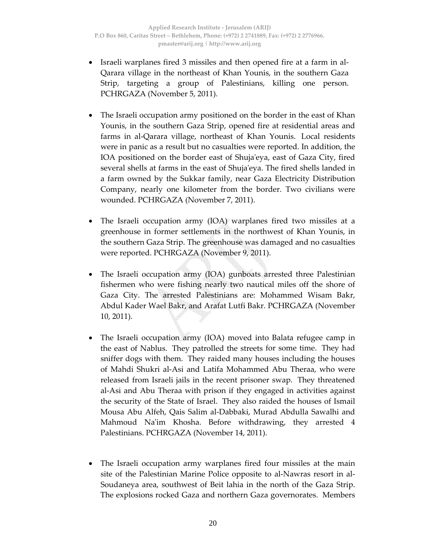- Israeli warplanes fired 3 missiles and then opened fire at a farm in al‐ Qarara village in the northeast of Khan Younis, in the southern Gaza Strip, targeting a group of Palestinians, killing one person. PCHRGAZA (November 5, 2011).
- The Israeli occupation army positioned on the border in the east of Khan Younis, in the southern Gaza Strip, opened fire at residential areas and farms in al‐Qarara village, northeast of Khan Younis. Local residents were in panic as a result but no casualties were reported. In addition, the IOA positioned on the border east of Shuja'eya, east of Gaza City, fired several shells at farms in the east of Shuja'eya. The fired shells landed in a farm owned by the Sukkar family, near Gaza Electricity Distribution Company, nearly one kilometer from the border. Two civilians were wounded. PCHRGAZA (November 7, 2011).
- The Israeli occupation army (IOA) warplanes fired two missiles at a greenhouse in former settlements in the northwest of Khan Younis, in the southern Gaza Strip. The greenhouse was damaged and no casualties were reported. PCHRGAZA (November 9, 2011).
- The Israeli occupation army (IOA) gunboats arrested three Palestinian fishermen who were fishing nearly two nautical miles off the shore of Gaza City. The arrested Palestinians are: Mohammed Wisam Bakr, Abdul Kader Wael Bakr, and Arafat Lutfi Bakr. PCHRGAZA (November 10, 2011).
- The Israeli occupation army (IOA) moved into Balata refugee camp in the east of Nablus. They patrolled the streets for some time. They had sniffer dogs with them. They raided many houses including the houses of Mahdi Shukri al‐Asi and Latifa Mohammed Abu Theraa, who were released from Israeli jails in the recent prisoner swap. They threatened al‐Asi and Abu Theraa with prison if they engaged in activities against the security of the State of Israel. They also raided the houses of Ismail Mousa Abu Alfeh, Qais Salim al‐Dabbaki, Murad Abdulla Sawalhi and Mahmoud Naʹim Khosha. Before withdrawing, they arrested 4 Palestinians. PCHRGAZA (November 14, 2011).
- The Israeli occupation army warplanes fired four missiles at the main site of the Palestinian Marine Police opposite to al‐Nawras resort in al‐ Soudaneya area, southwest of Beit lahia in the north of the Gaza Strip. The explosions rocked Gaza and northern Gaza governorates. Members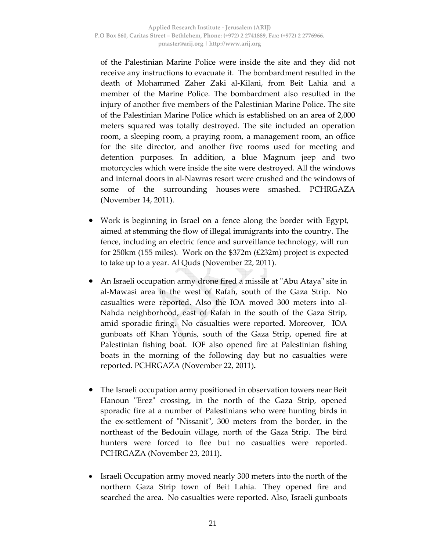of the Palestinian Marine Police were inside the site and they did not receive any instructions to evacuate it. The bombardment resulted in the death of Mohammed Zaher Zaki al‐Kilani, from Beit Lahia and a member of the Marine Police. The bombardment also resulted in the injury of another five members of the Palestinian Marine Police. The site of the Palestinian Marine Police which is established on an area of 2,000 meters squared was totally destroyed. The site included an operation room, a sleeping room, a praying room, a management room, an office for the site director, and another five rooms used for meeting and detention purposes. In addition, a blue Magnum jeep and two motorcycles which were inside the site were destroyed. All the windows and internal doors in al‐Nawras resort were crushed and the windows of some of the surrounding houses were smashed. PCHRGAZA (November 14, 2011).

- Work is beginning in Israel on a fence along the border with Egypt, aimed at stemming the flow of illegal immigrants into the country. The fence, including an electric fence and surveillance technology, will run for 250km (155 miles). Work on the \$372m (£232m) project is expected to take up to a year. Al Quds (November 22, 2011).
- An Israeli occupation army drone fired a missile at "Abu Ataya" site in al‐Mawasi area in the west of Rafah, south of the Gaza Strip. No casualties were reported. Also the IOA moved 300 meters into al‐ Nahda neighborhood, east of Rafah in the south of the Gaza Strip, amid sporadic firing. No casualties were reported. Moreover, IOA gunboats off Khan Younis, south of the Gaza Strip, opened fire at Palestinian fishing boat. IOF also opened fire at Palestinian fishing boats in the morning of the following day but no casualties were reported. PCHRGAZA (November 22, 2011)**.**
- The Israeli occupation army positioned in observation towers near Beit Hanoun "Erez" crossing, in the north of the Gaza Strip, opened sporadic fire at a number of Palestinians who were hunting birds in the ex-settlement of "Nissanit", 300 meters from the border, in the northeast of the Bedouin village, north of the Gaza Strip. The bird hunters were forced to flee but no casualties were reported. PCHRGAZA (November 23, 2011)**.**
- Israeli Occupation army moved nearly 300 meters into the north of the northern Gaza Strip town of Beit Lahia. They opened fire and searched the area. No casualties were reported. Also, Israeli gunboats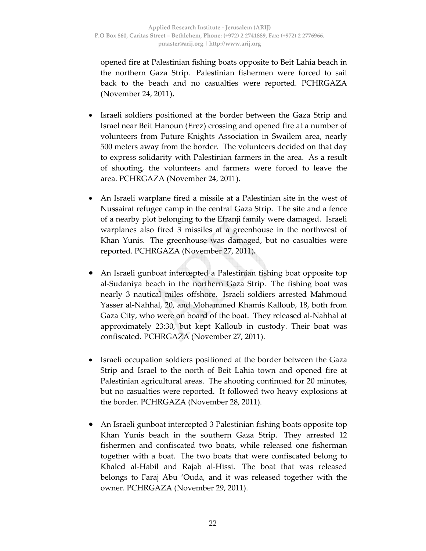opened fire at Palestinian fishing boats opposite to Beit Lahia beach in the northern Gaza Strip. Palestinian fishermen were forced to sail back to the beach and no casualties were reported. PCHRGAZA (November 24, 2011)**.**

- Israeli soldiers positioned at the border between the Gaza Strip and Israel near Beit Hanoun (Erez) crossing and opened fire at a number of volunteers from Future Knights Association in Swailem area, nearly 500 meters away from the border. The volunteers decided on that day to express solidarity with Palestinian farmers in the area. As a result of shooting, the volunteers and farmers were forced to leave the area. PCHRGAZA (November 24, 2011)**.**
- An Israeli warplane fired a missile at a Palestinian site in the west of Nussairat refugee camp in the central Gaza Strip. The site and a fence of a nearby plot belonging to the Efranji family were damaged. Israeli warplanes also fired 3 missiles at a greenhouse in the northwest of Khan Yunis. The greenhouse was damaged, but no casualties were reported. PCHRGAZA (November 27, 2011)**.**
- An Israeli gunboat intercepted a Palestinian fishing boat opposite top al‐Sudaniya beach in the northern Gaza Strip. The fishing boat was nearly 3 nautical miles offshore. Israeli soldiers arrested Mahmoud Yasser al‐Nahhal, 20, and Mohammed Khamis Kalloub, 18, both from Gaza City, who were on board of the boat. They released al‐Nahhal at approximately 23:30, but kept Kalloub in custody. Their boat was confiscated. PCHRGAZA (November 27, 2011).
- Israeli occupation soldiers positioned at the border between the Gaza Strip and Israel to the north of Beit Lahia town and opened fire at Palestinian agricultural areas. The shooting continued for 20 minutes, but no casualties were reported. It followed two heavy explosions at the border. PCHRGAZA (November 28, 2011).
- An Israeli gunboat intercepted 3 Palestinian fishing boats opposite top Khan Yunis beach in the southern Gaza Strip. They arrested 12 fishermen and confiscated two boats, while released one fisherman together with a boat. The two boats that were confiscated belong to Khaled al-Habil and Rajab al-Hissi. The boat that was released belongs to Faraj Abu 'Ouda, and it was released together with the owner. PCHRGAZA (November 29, 2011).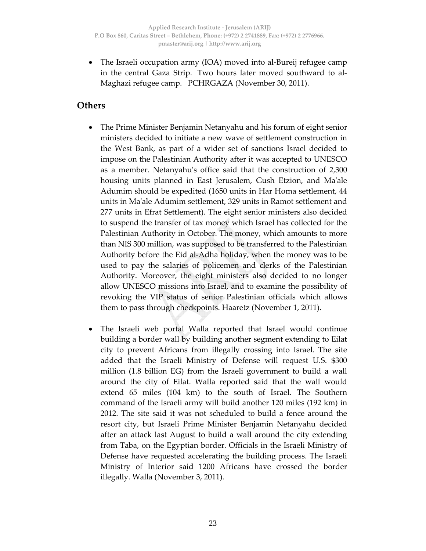• The Israeli occupation army (IOA) moved into al‐Bureij refugee camp in the central Gaza Strip. Two hours later moved southward to al-Maghazi refugee camp. PCHRGAZA (November 30, 2011).

#### **Others**

- The Prime Minister Benjamin Netanyahu and his forum of eight senior ministers decided to initiate a new wave of settlement construction in the West Bank, as part of a wider set of sanctions Israel decided to impose on the Palestinian Authority after it was accepted to UNESCO as a member. Netanyahuʹs office said that the construction of 2,300 housing units planned in East Jerusalem, Gush Etzion, and Ma'ale Adumim should be expedited (1650 units in Har Homa settlement, 44 units in Maʹale Adumim settlement, 329 units in Ramot settlement and 277 units in Efrat Settlement). The eight senior ministers also decided to suspend the transfer of tax money which Israel has collected for the Palestinian Authority in October. The money, which amounts to more than NIS 300 million, was supposed to be transferred to the Palestinian Authority before the Eid al‐Adha holiday, when the money was to be used to pay the salaries of policemen and clerks of the Palestinian Authority. Moreover, the eight ministers also decided to no longer allow UNESCO missions into Israel, and to examine the possibility of revoking the VIP status of senior Palestinian officials which allows them to pass through checkpoints. Haaretz (November 1, 2011).
- The Israeli web portal Walla reported that Israel would continue building a border wall by building another segment extending to Eilat city to prevent Africans from illegally crossing into Israel. The site added that the Israeli Ministry of Defense will request U.S. \$300 million (1.8 billion EG) from the Israeli government to build a wall around the city of Eilat. Walla reported said that the wall would extend 65 miles (104 km) to the south of Israel. The Southern command of the Israeli army will build another 120 miles (192 km) in 2012. The site said it was not scheduled to build a fence around the resort city, but Israeli Prime Minister Benjamin Netanyahu decided after an attack last August to build a wall around the city extending from Taba, on the Egyptian border. Officials in the Israeli Ministry of Defense have requested accelerating the building process. The Israeli Ministry of Interior said 1200 Africans have crossed the border illegally. Walla (November 3, 2011).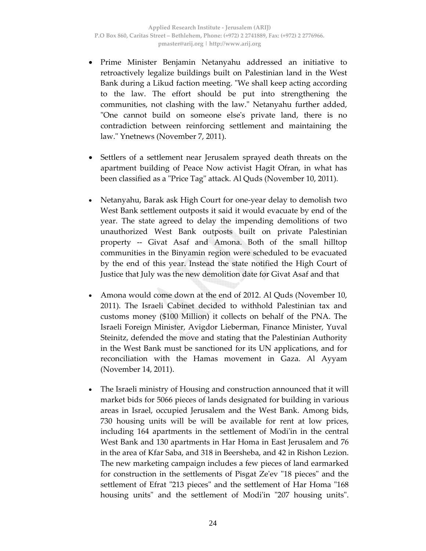- Prime Minister Benjamin Netanyahu addressed an initiative to retroactively legalize buildings built on Palestinian land in the West Bank during a Likud faction meeting. "We shall keep acting according to the law. The effort should be put into strengthening the communities, not clashing with the law." Netanyahu further added, ʺOne cannot build on someone elseʹs private land, there is no contradiction between reinforcing settlement and maintaining the law.ʺ Ynetnews (November 7, 2011).
- Settlers of a settlement near Jerusalem sprayed death threats on the apartment building of Peace Now activist Hagit Ofran, in what has been classified as a "Price Tag" attack. Al Quds (November 10, 2011).
- Netanyahu, Barak ask High Court for one‐year delay to demolish two West Bank settlement outposts it said it would evacuate by end of the year. The state agreed to delay the impending demolitions of two unauthorized West Bank outposts built on private Palestinian property ‐‐ Givat Asaf and Amona. Both of the small hilltop communities in the Binyamin region were scheduled to be evacuated by the end of this year. Instead the state notified the High Court of Justice that July was the new demolition date for Givat Asaf and that
- Amona would come down at the end of 2012. Al Quds (November 10, 2011). The Israeli Cabinet decided to withhold Palestinian tax and customs money (\$100 Million) it collects on behalf of the PNA. The Israeli Foreign Minister, Avigdor Lieberman, Finance Minister, Yuval Steinitz, defended the move and stating that the Palestinian Authority in the West Bank must be sanctioned for its UN applications, and for reconciliation with the Hamas movement in Gaza. Al Ayyam (November 14, 2011).
- The Israeli ministry of Housing and construction announced that it will market bids for 5066 pieces of lands designated for building in various areas in Israel, occupied Jerusalem and the West Bank. Among bids, 730 housing units will be will be available for rent at low prices, including 164 apartments in the settlement of Modi'in in the central West Bank and 130 apartments in Har Homa in East Jerusalem and 76 in the area of Kfar Saba, and 318 in Beersheba, and 42 in Rishon Lezion. The new marketing campaign includes a few pieces of land earmarked for construction in the settlements of Pisgat Ze'ev "18 pieces" and the settlement of Efrat "213 pieces" and the settlement of Har Homa "168 housing units" and the settlement of Modi'in "207 housing units".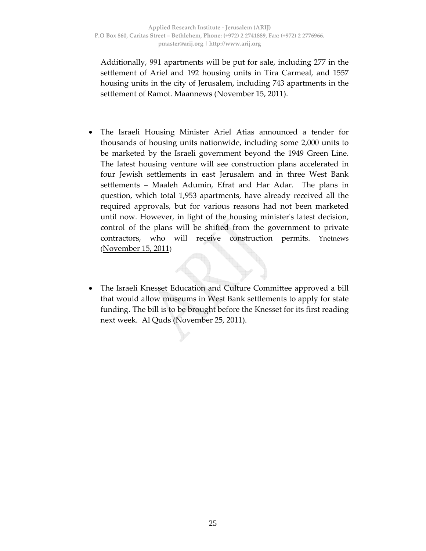Additionally, 991 apartments will be put for sale, including 277 in the settlement of Ariel and 192 housing units in Tira Carmeal, and 1557 housing units in the city of Jerusalem, including 743 apartments in the settlement of Ramot. Maannews (November 15, 2011).

- The Israeli Housing Minister Ariel Atias announced a tender for thousands of housing units nationwide, including some 2,000 units to be marketed by the Israeli government beyond the 1949 Green Line. The latest housing venture will see construction plans accelerated in four Jewish settlements in east Jerusalem and in three West Bank settlements – Maaleh Adumin, Efrat and Har Adar. The plans in question, which total 1,953 apartments, have already received all the required approvals, but for various reasons had not been marketed until now. However, in light of the housing ministerʹs latest decision, control of the plans will be shifted from the government to private contractors, who will receive construction permits. Ynetnews (November 15, 2011)
- The Israeli Knesset Education and Culture Committee approved a bill that would allow museums in West Bank settlements to apply for state funding. The bill is to be brought before the Knesset for its first reading next week. Al Quds (November 25, 2011).